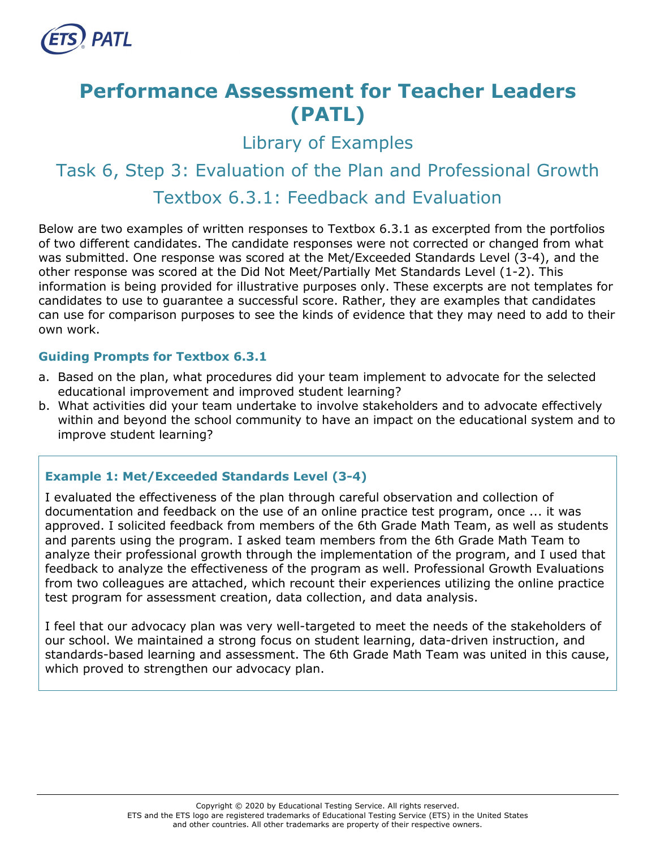

# **Performance Assessment for Teacher Leaders (PATL)**

Library of Examples

# Task 6, Step 3: Evaluation of the Plan and Professional Growth Textbox 6.3.1: Feedback and Evaluation

Below are two examples of written responses to Textbox 6.3.1 as excerpted from the portfolios of two different candidates. The candidate responses were not corrected or changed from what was submitted. One response was scored at the Met/Exceeded Standards Level (3-4), and the other response was scored at the Did Not Meet/Partially Met Standards Level (1-2). This information is being provided for illustrative purposes only. These excerpts are not templates for candidates to use to guarantee a successful score. Rather, they are examples that candidates can use for comparison purposes to see the kinds of evidence that they may need to add to their own work.

# **Guiding Prompts for Textbox 6.3.1**

- a. Based on the plan, what procedures did your team implement to advocate for the selected educational improvement and improved student learning?
- b. What activities did your team undertake to involve stakeholders and to advocate effectively within and beyond the school community to have an impact on the educational system and to improve student learning?

#### **Example 1: Met/Exceeded Standards Level (3-4)**

I evaluated the effectiveness of the plan through careful observation and collection of documentation and feedback on the use of an online practice test program, once ... it was approved. I solicited feedback from members of the 6th Grade Math Team, as well as students and parents using the program. I asked team members from the 6th Grade Math Team to analyze their professional growth through the implementation of the program, and I used that feedback to analyze the effectiveness of the program as well. Professional Growth Evaluations from two colleagues are attached, which recount their experiences utilizing the online practice test program for assessment creation, data collection, and data analysis.

I feel that our advocacy plan was very well-targeted to meet the needs of the stakeholders of our school. We maintained a strong focus on student learning, data-driven instruction, and standards-based learning and assessment. The 6th Grade Math Team was united in this cause, which proved to strengthen our advocacy plan.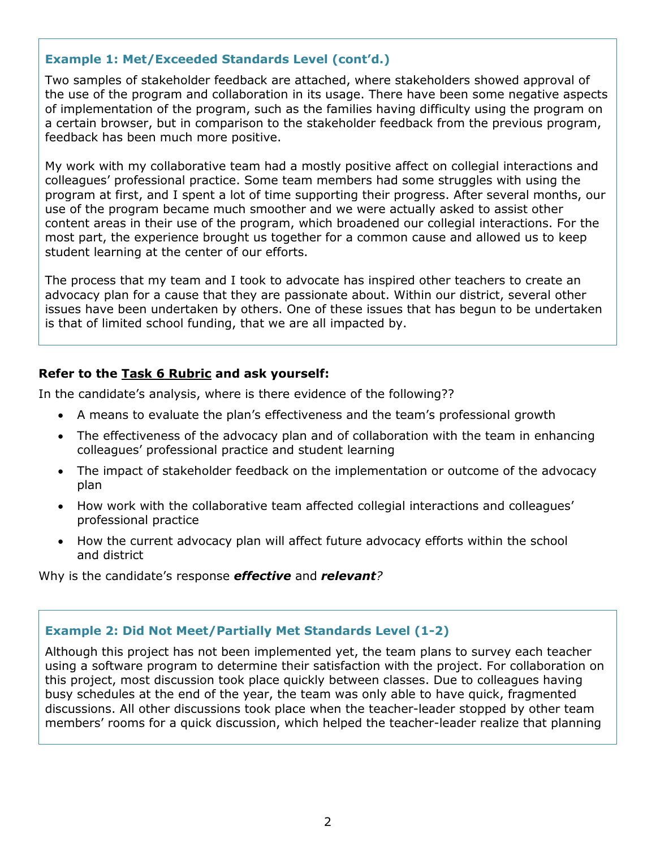# **Example 1: Met/Exceeded Standards Level (cont'd.)**

Two samples of stakeholder feedback are attached, where stakeholders showed approval of the use of the program and collaboration in its usage. There have been some negative aspects of implementation of the program, such as the families having difficulty using the program on a certain browser, but in comparison to the stakeholder feedback from the previous program, feedback has been much more positive.

My work with my collaborative team had a mostly positive affect on collegial interactions and colleagues' professional practice. Some team members had some struggles with using the program at first, and I spent a lot of time supporting their progress. After several months, our use of the program became much smoother and we were actually asked to assist other content areas in their use of the program, which broadened our collegial interactions. For the most part, the experience brought us together for a common cause and allowed us to keep student learning at the center of our efforts.

The process that my team and I took to advocate has inspired other teachers to create an advocacy plan for a cause that they are passionate about. Within our district, several other issues have been undertaken by others. One of these issues that has begun to be undertaken is that of limited school funding, that we are all impacted by.

#### **Refer to the [Task 6](http://gace.ets.org/s/pdf/gace_teacher_leadership_assessment_task_6_rubric.pdf) Rubric and ask yourself:**

In the candidate's analysis, where is there evidence of the following??

- A means to evaluate the plan's effectiveness and the team's professional growth
- The effectiveness of the advocacy plan and of collaboration with the team in enhancing colleagues' professional practice and student learning
- The impact of stakeholder feedback on the implementation or outcome of the advocacy plan
- How work with the collaborative team affected collegial interactions and colleagues' professional practice
- How the current advocacy plan will affect future advocacy efforts within the school and district

Why is the candidate's response *effective* and *relevant?*

#### **Example 2: Did Not Meet/Partially Met Standards Level (1-2)**

Although this project has not been implemented yet, the team plans to survey each teacher using a software program to determine their satisfaction with the project. For collaboration on this project, most discussion took place quickly between classes. Due to colleagues having busy schedules at the end of the year, the team was only able to have quick, fragmented discussions. All other discussions took place when the teacher-leader stopped by other team members' rooms for a quick discussion, which helped the teacher-leader realize that planning